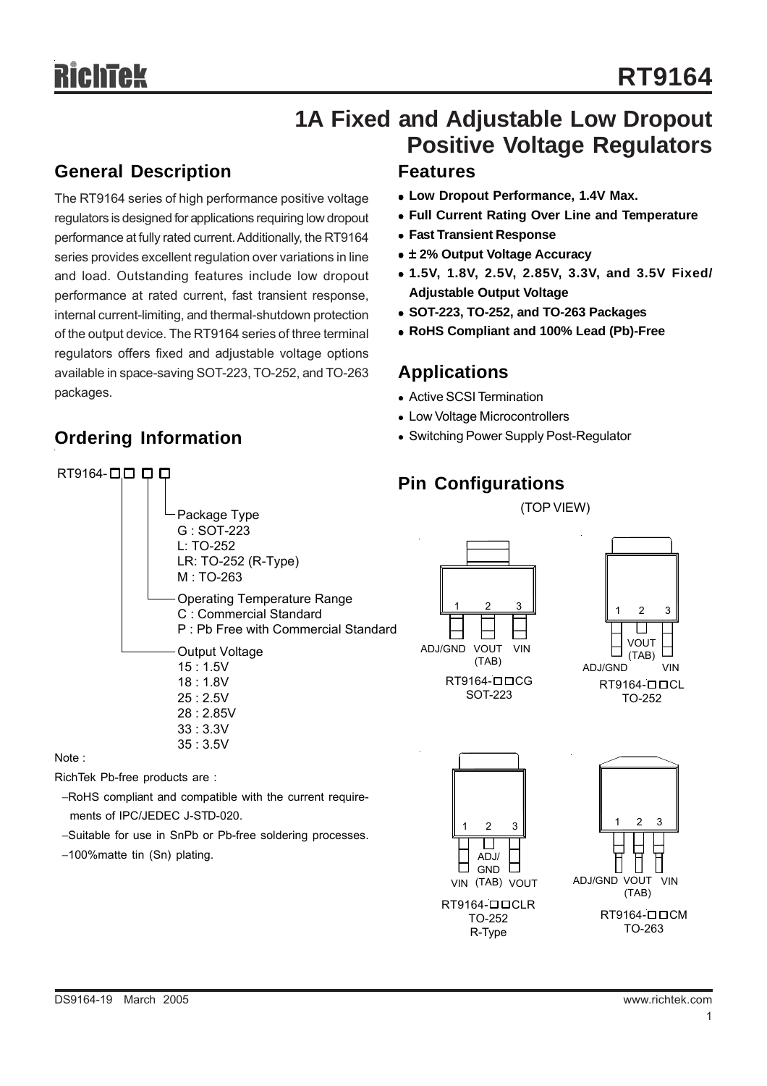## **1A Fixed and Adjustable Low Dropout Positive Voltage Regulators**

## **General Description**

**Ordering Information**

 $RT9164 -  $\square$   $\square$   $\square$   $\square$$ 

The RT9164 series of high performance positive voltage regulators is designed for applications requiring low dropout performance at fully rated current. Additionally, the RT9164 series provides excellent regulation over variations in line and load. Outstanding features include low dropout performance at rated current, fast transient response, internal current-limiting, and thermal-shutdown protection of the output device. The RT9164 series of three terminal regulators offers fixed and adjustable voltage options available in space-saving SOT-223, TO-252, and TO-263 packages.

## **Features**

- **Low Dropout Performance, 1.4V Max.**
- **Full Current Rating Over Line and Temperature**
- <sup>z</sup> **Fast Transient Response**
- $\bullet$  **± 2% Output Voltage Accuracy**
- <sup>z</sup> **1.5V, 1.8V, 2.5V, 2.85V, 3.3V, and 3.5V Fixed/ Adjustable Output Voltage**
- <sup>z</sup> **SOT-223, TO-252, and TO-263 Packages**
- <sup>z</sup> **RoHS Compliant and 100% Lead (Pb)-Free**

## **Applications**

- Active SCSI Termination
- Low Voltage Microcontrollers
- Switching Power Supply Post-Regulator

## **Pin Configurations**

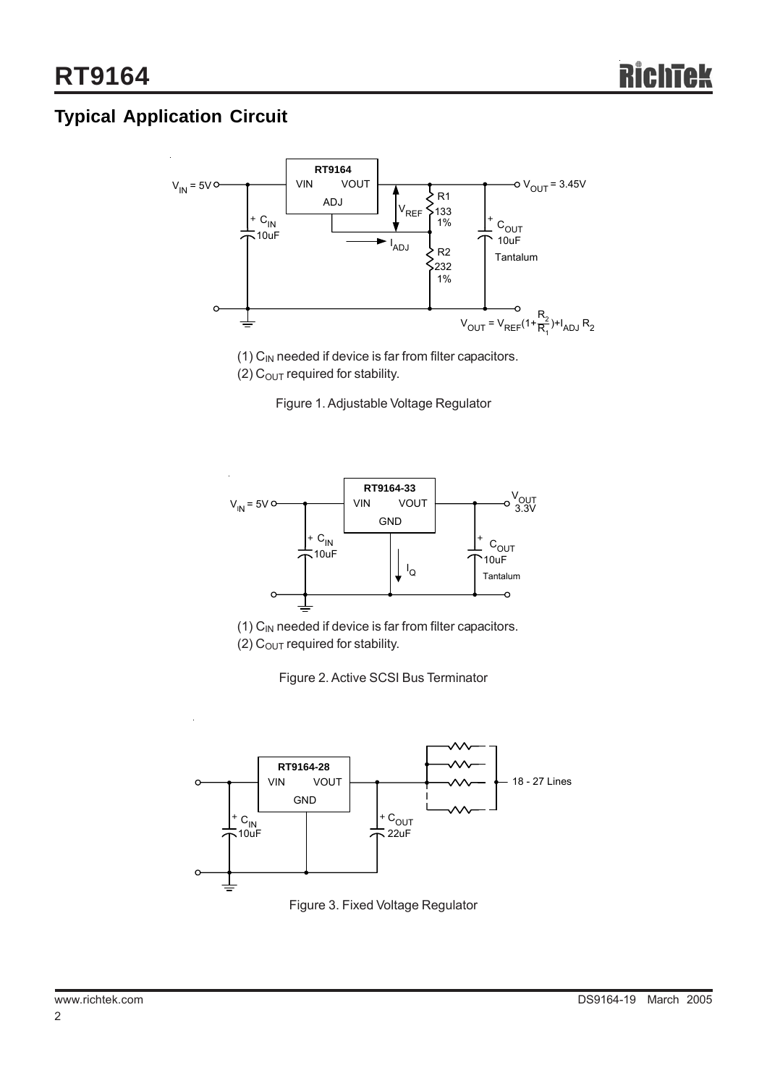## **Typical Application Circuit**



(1)  $C_{IN}$  needed if device is far from filter capacitors.

(2)  $C<sub>OUT</sub>$  required for stability.

Figure 1. Adjustable Voltage Regulator



 $(1)$  C<sub>IN</sub> needed if device is far from filter capacitors. (2)  $C<sub>OUT</sub>$  required for stability.

Figure 2. Active SCSI Bus Terminator



Figure 3. Fixed Voltage Regulator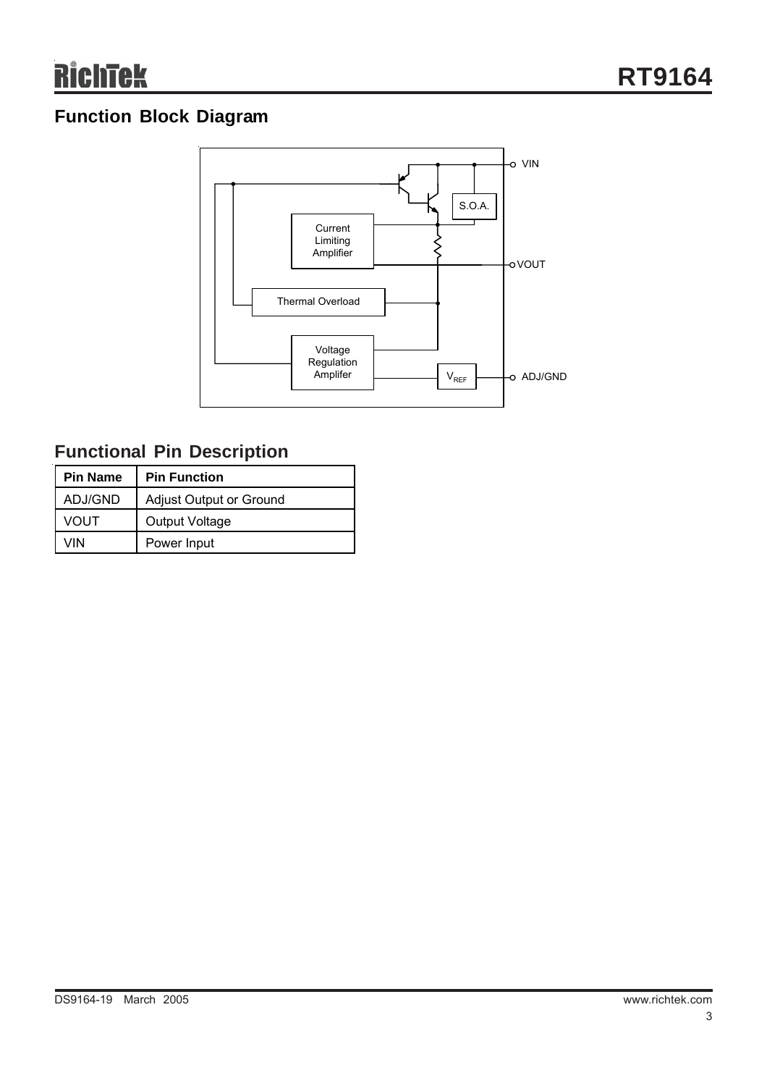## **Function Block Diagram**



## **Functional Pin Description**

| <b>Pin Name</b> | <b>Pin Function</b>     |  |  |
|-----------------|-------------------------|--|--|
| ADJ/GND         | Adjust Output or Ground |  |  |
| <b>VOUT</b>     | Output Voltage          |  |  |
| VIN             | Power Input             |  |  |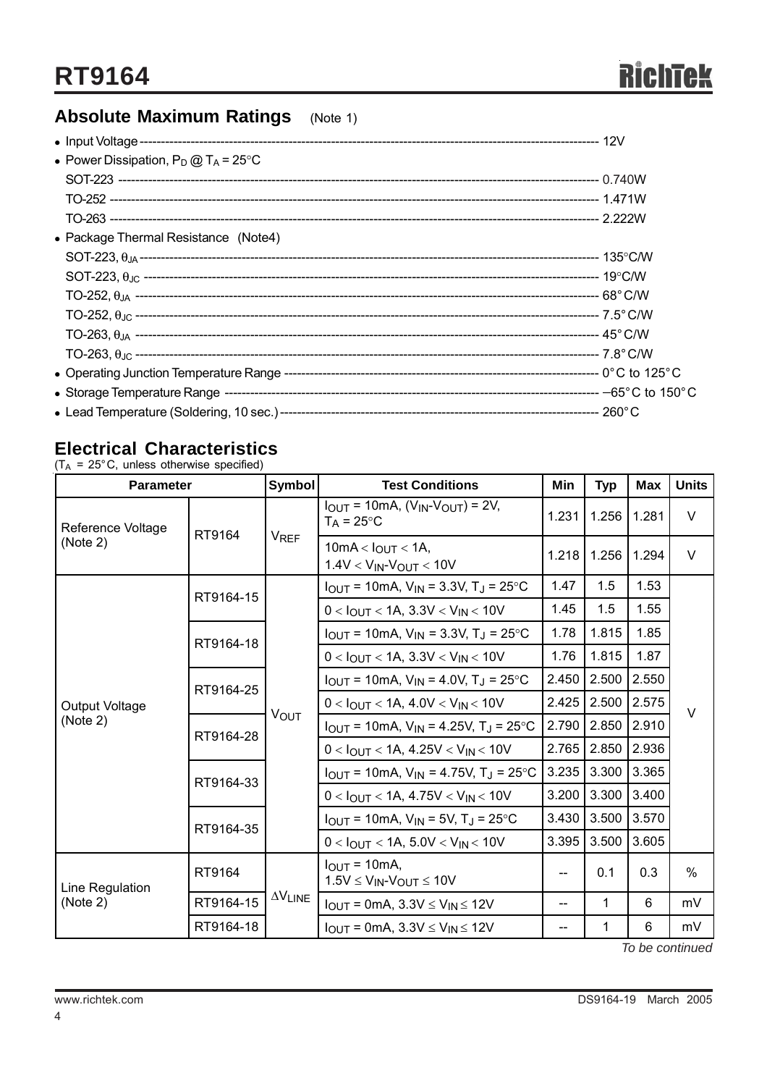## **Absolute Maximum Ratings** (Note 1)

| • Power Dissipation, $P_D @ T_A = 25°C$ |  |
|-----------------------------------------|--|
|                                         |  |
|                                         |  |
|                                         |  |
| • Package Thermal Resistance (Note4)    |  |
|                                         |  |
|                                         |  |
|                                         |  |
|                                         |  |
|                                         |  |
|                                         |  |
|                                         |  |
|                                         |  |
|                                         |  |

## **Electrical Characteristics**

 $(T_A = 25^{\circ} \text{C}, \text{ unless otherwise specified})$ 

| <b>Parameter</b>              |           | Symbol                             | <b>Test Conditions</b>                                                    | Min   | <b>Typ</b>  | Max   | <b>Units</b>  |  |
|-------------------------------|-----------|------------------------------------|---------------------------------------------------------------------------|-------|-------------|-------|---------------|--|
| Reference Voltage<br>(Note 2) | RT9164    | <b>V<sub>REF</sub></b>             | $I_{OUT} = 10mA$ , $(V_{IN} \cdot V_{OUT}) = 2V$ ,<br>$T_A = 25^{\circ}C$ | 1.231 | 1.256       | 1.281 | $\vee$        |  |
|                               |           |                                    | 10mA < $I_{OUT}$ < 1A,<br>$1.4V < V_{IN} - V_{OUT} < 10V$                 | 1.218 | 1.256       | 1.294 | $\vee$        |  |
|                               | RT9164-15 |                                    | $I_{OUT}$ = 10mA, $V_{IN}$ = 3.3V, T <sub>J</sub> = 25 °C                 | 1.47  | 1.5         | 1.53  |               |  |
|                               |           | <b>VOUT</b>                        | $0 < I_{\text{OUT}} < 1$ A, 3.3V $< V_{\text{IN}} < 10$ V                 | 1.45  | 1.5         | 1.55  | $\vee$        |  |
|                               | RT9164-18 |                                    | $I_{OUT}$ = 10mA, $V_{IN}$ = 3.3V, T <sub>J</sub> = 25 °C                 | 1.78  | 1.815       | 1.85  |               |  |
|                               |           |                                    | $0 < I_{OUT} < 1A$ , 3.3V $< V_{IN} < 10V$                                | 1.76  | 1.815       | 1.87  |               |  |
|                               | RT9164-25 |                                    | $I_{OUT}$ = 10mA, $V_{IN}$ = 4.0V, T <sub>J</sub> = 25 °C                 | 2.450 | 2.500 2.550 |       |               |  |
| Output Voltage                |           |                                    | $0 < I_{OUT} < 1A, 4.0V < V_{IN} < 10V$                                   | 2.425 | 2.500       | 2.575 |               |  |
| (Note 2)                      | RT9164-28 |                                    | $I_{\text{OUT}}$ = 10mA, $V_{\text{IN}}$ = 4.25V, T <sub>J</sub> = 25 °C  | 2.790 | 2.850 2.910 |       |               |  |
|                               |           |                                    | $0 < I_{\text{OUT}} < 1$ A, 4.25V $<$ V <sub>IN</sub> $<$ 10V             | 2.765 | 2.850       | 2.936 |               |  |
|                               | RT9164-33 |                                    | $I_{OUT}$ = 10mA, $V_{IN}$ = 4.75V, T <sub>J</sub> = 25°C                 | 3.235 | 3.300       | 3.365 |               |  |
|                               |           |                                    | $0 < I_{OUT} < 1A, 4.75V < V_{IN} < 10V$                                  | 3.200 | 3.300       | 3.400 |               |  |
|                               | RT9164-35 |                                    | $I_{OUT}$ = 10mA, $V_{IN}$ = 5V, T <sub>J</sub> = 25°C                    | 3.430 | 3.500       | 3.570 |               |  |
|                               |           |                                    | $0 < I_{OUT} < 1A, 5.0V < V_{IN} < 10V$                                   | 3.395 | 3.500       | 3.605 |               |  |
| Line Regulation<br>(Note 2)   | RT9164    |                                    | $IOUT = 10mA,$<br>$1.5V \leq V_{IN}$ - $V_{OUT} \leq 10V$                 | --    | 0.1         | 0.3   | $\frac{0}{0}$ |  |
|                               | RT9164-15 | $\Delta\mathsf{V}_{\mathsf{LINE}}$ | $I_{OUT}$ = 0mA, 3.3V $\leq$ V <sub>IN</sub> $\leq$ 12V                   | ——    | 1           | 6     | mV            |  |
|                               | RT9164-18 |                                    | $I_{OUT} = 0mA$ , 3.3V $\leq$ V <sub>IN</sub> $\leq$ 12V                  | --    | 1           | 6     | mV            |  |

*To be continued*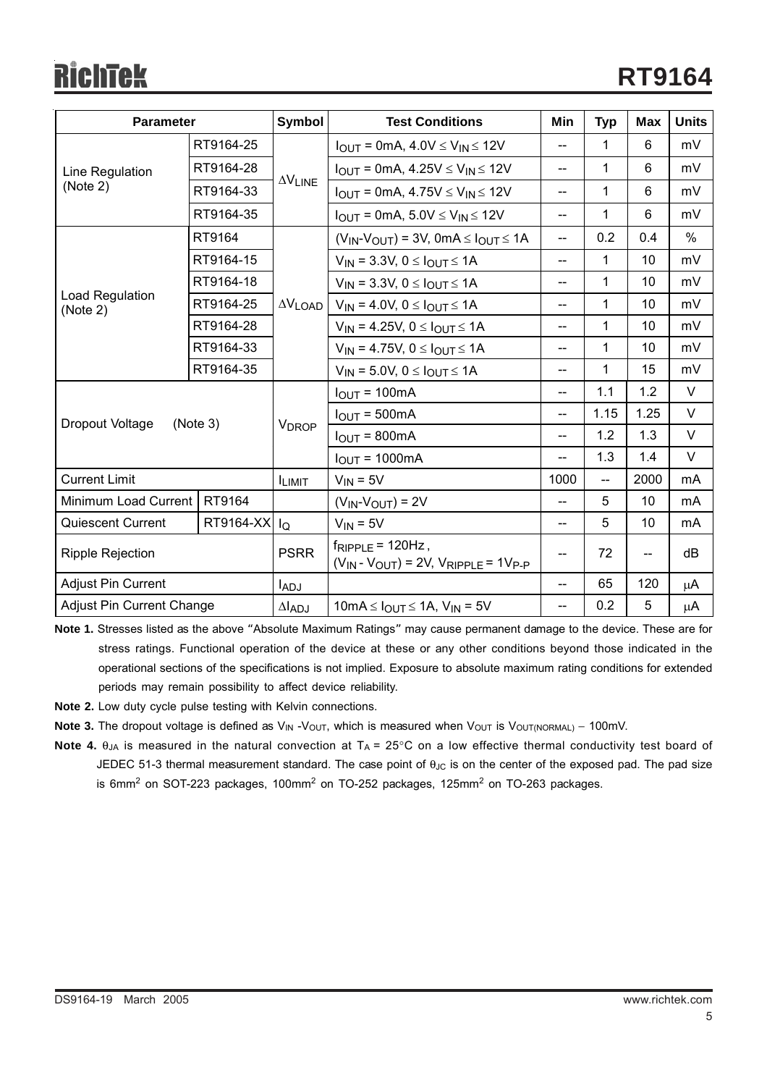# Richtek

| <b>Parameter</b>                         |           | Symbol                             | <b>Test Conditions</b>                                                       | Min            | <b>Typ</b>   | <b>Max</b>               | <b>Units</b> |
|------------------------------------------|-----------|------------------------------------|------------------------------------------------------------------------------|----------------|--------------|--------------------------|--------------|
|                                          | RT9164-25 | $\Delta\mathsf{V}_{\mathsf{LINE}}$ | $I_{OUT} = 0mA, 4.0V \le V_{IN} \le 12V$                                     | --             | 1            | 6                        | mV           |
| Line Regulation                          | RT9164-28 |                                    | $I_{OUT} = 0 \text{mA}, 4.25 \text{V} \leq V_{IN} \leq 12 \text{V}$          | $-$            | 1            | 6                        | mV           |
| (Note 2)                                 | RT9164-33 |                                    | $I_{OUT}$ = 0mA, 4.75V $\leq$ V <sub>IN</sub> $\leq$ 12V                     | $-$            | 1            | 6                        | mV           |
|                                          | RT9164-35 |                                    | $I_{OUT}$ = 0mA, 5.0V $\leq$ V <sub>IN</sub> $\leq$ 12V                      | --             | 1            | 6                        | mV           |
|                                          | RT9164    |                                    | $(V_{IN}V_{OUT})$ = 3V, 0mA $\leq$ $I_{OUT}$ $\leq$ 1A                       | --             | 0.2          | 0.4                      | $\%$         |
|                                          | RT9164-15 |                                    | $V_{IN}$ = 3.3V, 0 $\leq$ $I_{OUT}$ $\leq$ 1A                                | --             | $\mathbf{1}$ | 10                       | mV           |
|                                          | RT9164-18 |                                    | $V_{IN}$ = 3.3V, 0 $\leq$ $I_{OUT}$ $\leq$ 1A                                | --             | 1            | 10                       | mV           |
| Load Regulation<br>(Note 2)              | RT9164-25 | $\Delta V$ LOAD                    | $V_{IN} = 4.0 V, 0 \leq I_{OUT} \leq 1 A$                                    | $-$            | 1            | 10                       | mV           |
|                                          | RT9164-28 |                                    | $V_{IN}$ = 4.25V, 0 $\leq$ $I_{OUT}$ $\leq$ 1A                               | $\overline{a}$ | 1            | 10                       | mV           |
|                                          | RT9164-33 |                                    | $V_{IN} = 4.75V, 0 \leq I_{OUT} \leq 1A$                                     | --             | 1            | 10                       | mV           |
|                                          | RT9164-35 |                                    | $V_{IN}$ = 5.0V, 0 $\leq$ $I_{OUT}$ $\leq$ 1A                                | $-$            | 1            | 15                       | mV           |
|                                          |           |                                    | $IOUT = 100mA$                                                               | --             | 1.1          | 1.2                      | V            |
| Dropout Voltage                          | (Note 3)  | <b>V</b> <sub>DROP</sub>           | $IOUT = 500mA$                                                               | $-$            | 1.15         | 1.25                     | $\vee$       |
|                                          |           |                                    | $IOUT = 800mA$                                                               | --             | 1.2          | 1.3                      | V            |
|                                          |           |                                    | $IOUT = 1000mA$                                                              | --             | 1.3          | 1.4                      | V            |
| <b>Current Limit</b>                     |           | <b>ILIMIT</b>                      | $V_{IN} = 5V$                                                                | 1000           | 44           | 2000                     | mA           |
| Minimum Load Current<br>RT9164           |           |                                    | $(V_{IN}$ - $V_{OUT})$ = 2V                                                  | --             | 5            | 10                       | mA           |
| RT9164-XX IQ<br><b>Quiescent Current</b> |           |                                    | $V_{IN} = 5V$                                                                | --             | 5            | 10                       | mA           |
| <b>Ripple Rejection</b>                  |           | <b>PSRR</b>                        | $f_{RIPPLE}$ = 120Hz,<br>$(V_{IN} - V_{OUT}) = 2V$ , $V_{RIPPLE} = 1V_{P-P}$ | --             | 72           | $\overline{\phantom{a}}$ | dB           |
| Adjust Pin Current                       |           | ladj                               |                                                                              | --             | 65           | 120                      | μA           |
| <b>Adjust Pin Current Change</b>         |           | $\Delta I$ ADJ                     | $10mA \leq I_{OUT} \leq 1A$ , $V_{IN} = 5V$                                  | $-$            | 0.2          | 5                        | μA           |

**Note 1.** Stresses listed as the above "Absolute Maximum Ratings" may cause permanent damage to the device. These are for stress ratings. Functional operation of the device at these or any other conditions beyond those indicated in the operational sections of the specifications is not implied. Exposure to absolute maximum rating conditions for extended periods may remain possibility to affect device reliability.

**Note 2.** Low duty cycle pulse testing with Kelvin connections.

Note 3. The dropout voltage is defined as V<sub>IN</sub> -V<sub>OUT</sub>, which is measured when V<sub>OUT</sub> is V<sub>OUT(NORMAL)</sub> – 100mV.

**Note 4.**  $\theta_{JA}$  is measured in the natural convection at  $T_A = 25^{\circ}$ C on a low effective thermal conductivity test board of JEDEC 51-3 thermal measurement standard. The case point of  $\theta_{\text{JC}}$  is on the center of the exposed pad. The pad size is 6mm $^2$  on SOT-223 packages, 100mm $^2$  on TO-252 packages, 125mm $^2$  on TO-263 packages.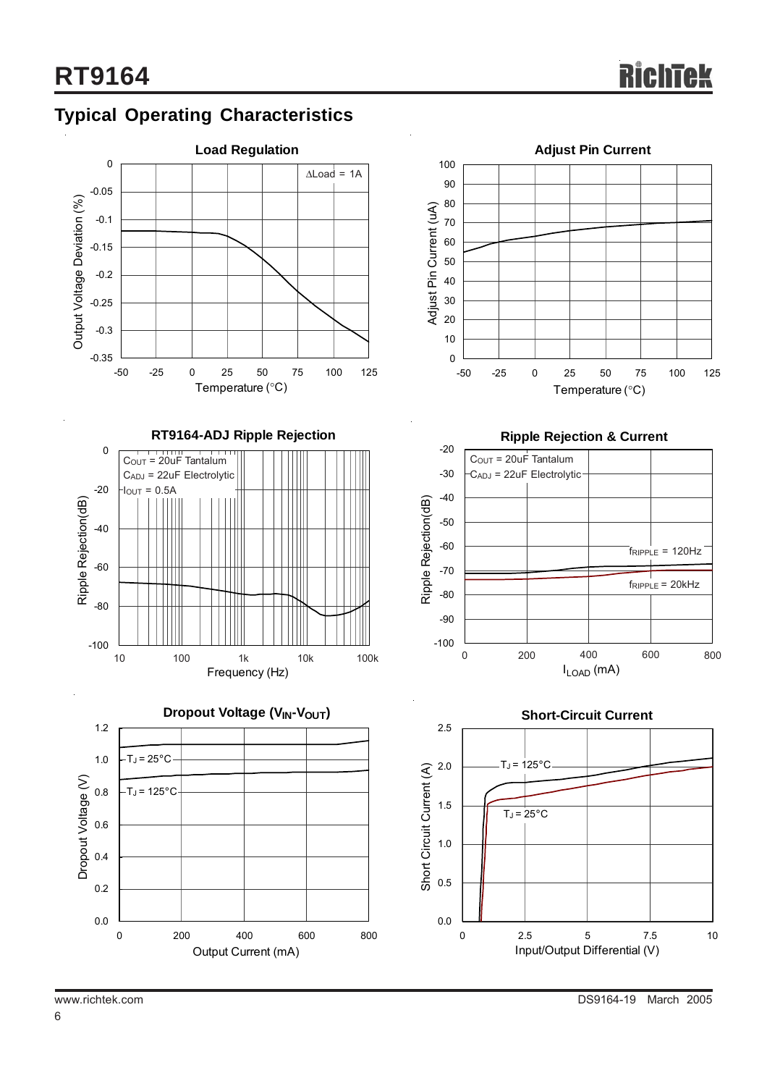



Output Current (mA)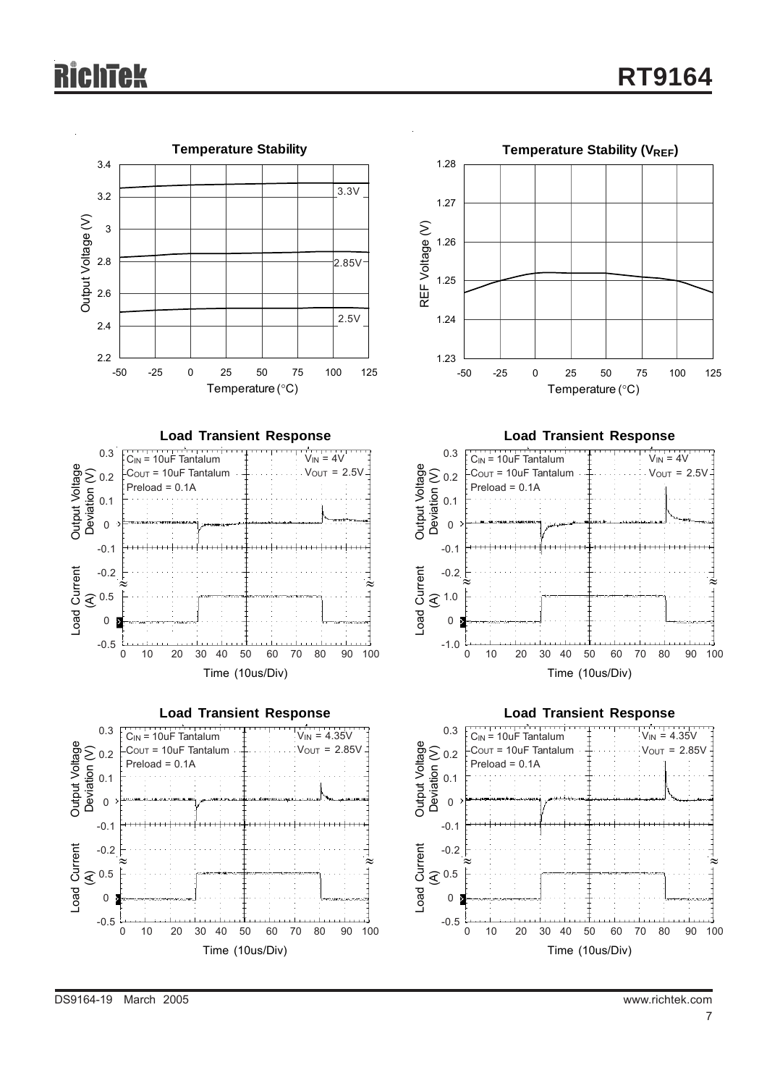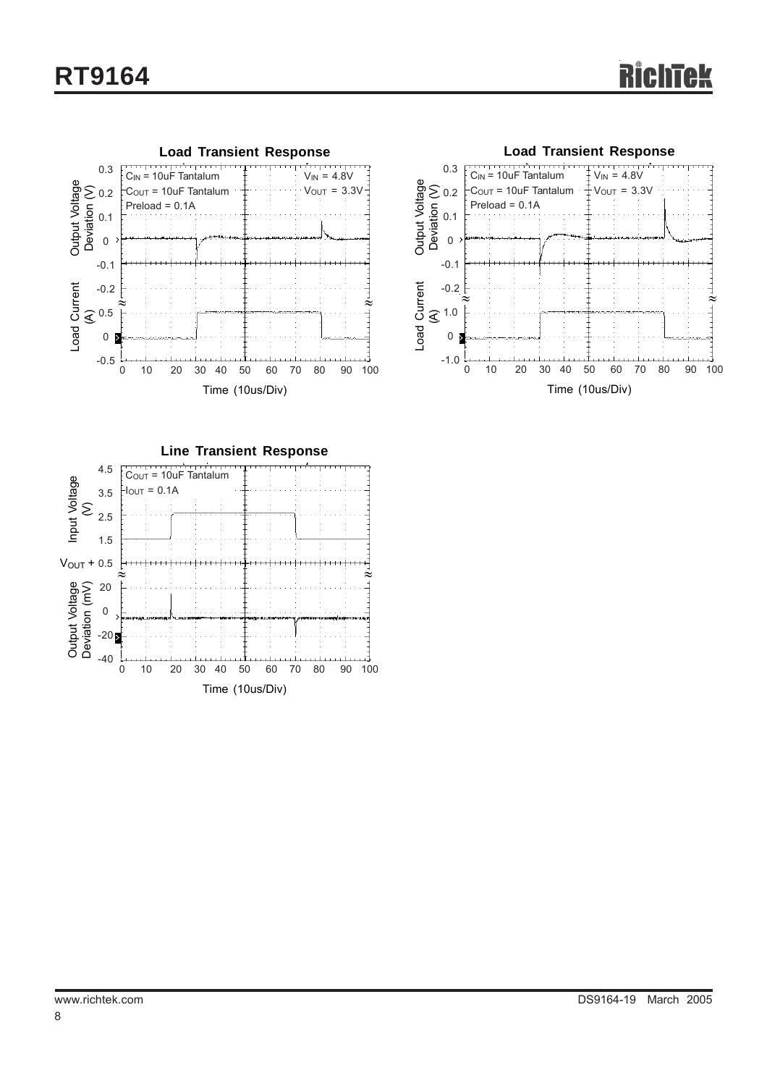



**Line Transient Response** Output Voltage Deviation (mV) Input Voltage Input Voltage<br>(V) Time (10us/Div) COUT = 10uF Tantalum  $\frac{1}{10}$ Iout = 0.1A 0 10 20 30 40 50 60 70 80 90 100 4.5 3.5 2.5 1.5  $V_{\text{OUT}} + 0.5$ 20 0  $-20<sub>2</sub>$ -40 <sup>≈</sup> <sup>≈</sup> VOUT +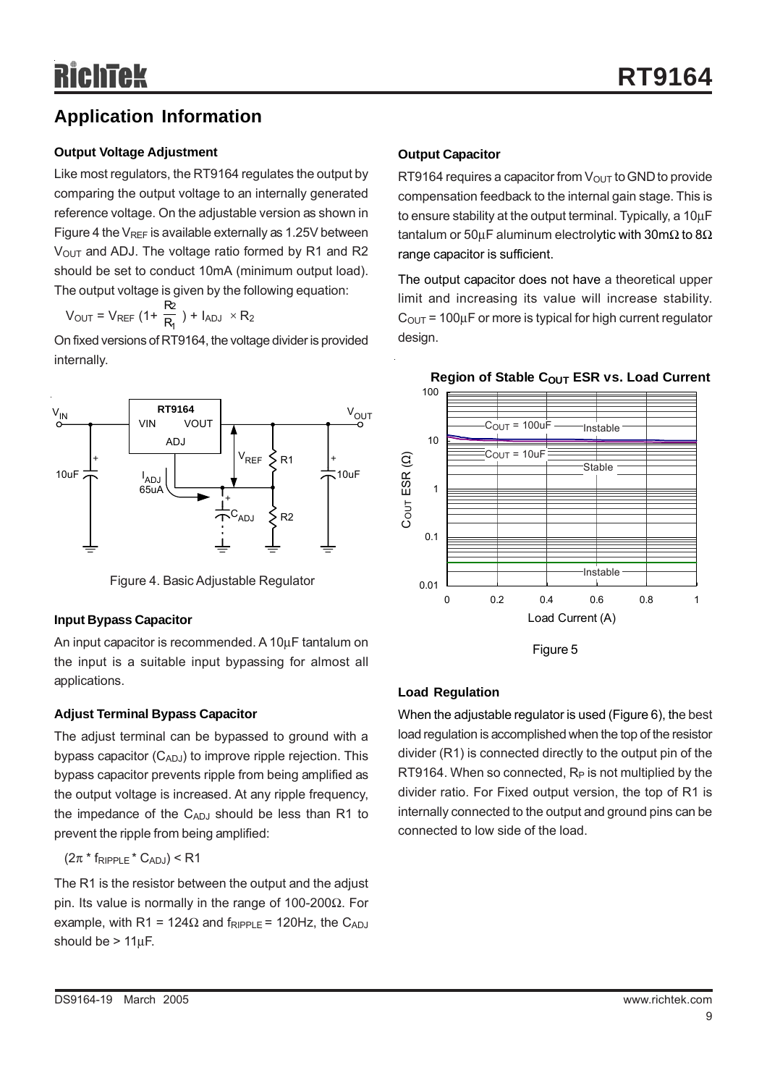## **Application Information**

#### **Output Voltage Adjustment**

Like most regulators, the RT9164 regulates the output by comparing the output voltage to an internally generated reference voltage. On the adjustable version as shown in Figure 4 the  $V_{REF}$  is available externally as 1.25V between  $V<sub>OUT</sub>$  and ADJ. The voltage ratio formed by R1 and R2 should be set to conduct 10mA (minimum output load). The output voltage is given by the following equation:

$$
V_{OUT} = V_{REF} (1 + \frac{R_2}{R_1}) + I_{ADJ} \times R_2
$$

On fixed versions of RT9164, the voltage divider is provided internally.



Figure 4. Basic Adjustable Regulator

#### **Input Bypass Capacitor**

An input capacitor is recommended. A 10µF tantalum on the input is a suitable input bypassing for almost all applications.

#### **Adjust Terminal Bypass Capacitor**

The adjust terminal can be bypassed to ground with a bypass capacitor  $(C_{ADJ})$  to improve ripple rejection. This bypass capacitor prevents ripple from being amplified as the output voltage is increased. At any ripple frequency, the impedance of the  $C_{ADJ}$  should be less than R1 to prevent the ripple from being amplified:

#### $(2\pi * f_{RIPPLE} * C_{ADJ})$  < R1

The R1 is the resistor between the output and the adjust pin. Its value is normally in the range of 100-200Ω. For example, with R1 = 124 $\Omega$  and  $f_{RIPPLE}$  = 120Hz, the C<sub>ADJ</sub> should be > 11µF.

### **Output Capacitor**

RT9164 requires a capacitor from  $V_{\text{OUT}}$  to GND to provide compensation feedback to the internal gain stage. This is to ensure stability at the output terminal. Typically, a 10µF tantalum or 50µF aluminum electrolytic with 30m $\Omega$  to 8 $\Omega$ range capacitor is sufficient.

The output capacitor does not have a theoretical upper limit and increasing its value will increase stability.  $C_{\text{OUT}}$  = 100 $\mu$ F or more is typical for high current regulator design.



#### **Region of Stable COUT ESR vs. Load Current**

Figure 5

#### **Load Regulation**

When the adjustable regulator is used (Figure 6), the best load regulation is accomplished when the top of the resistor divider (R1) is connected directly to the output pin of the RT9164. When so connected,  $R_P$  is not multiplied by the divider ratio. For Fixed output version, the top of R1 is internally connected to the output and ground pins can be connected to low side of the load.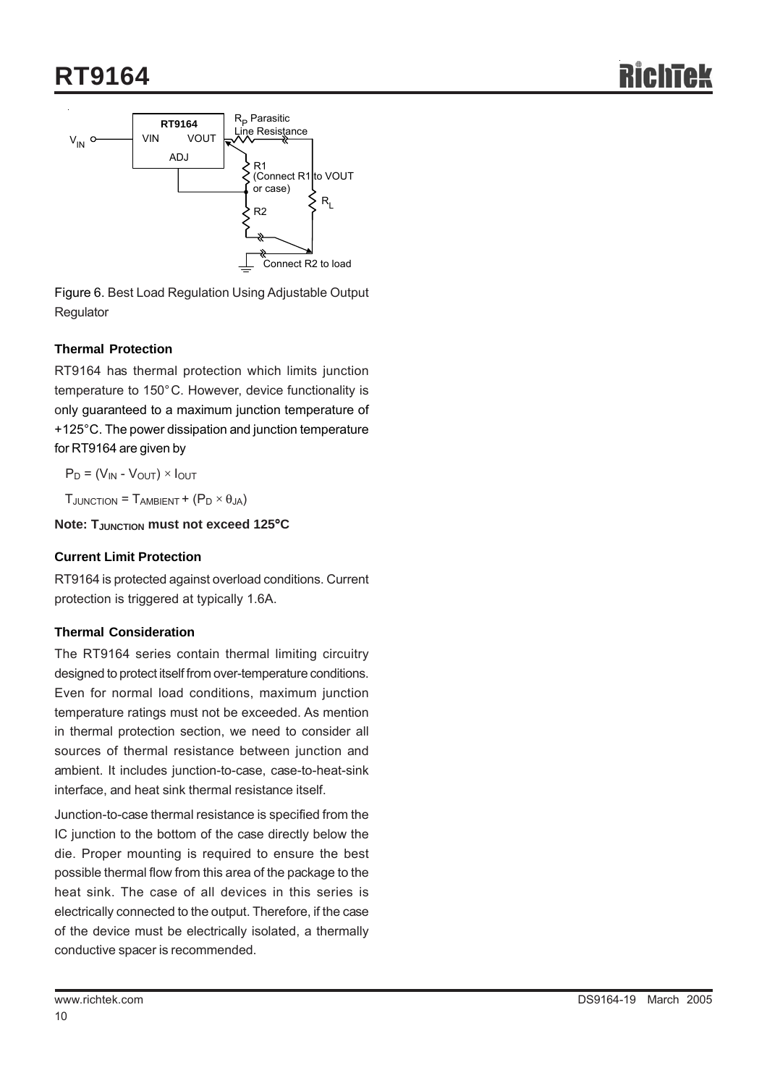## **RT9164**



Figure 6. Best Load Regulation Using Adjustable Output Regulator

#### **Thermal Protection**

RT9164 has thermal protection which limits junction temperature to 150°C. However, device functionality is only guaranteed to a maximum junction temperature of +125°C. The power dissipation and junction temperature for RT9164 are given by

$$
P_D = (V_{IN} - V_{OUT}) \times I_{OUT}
$$

 $T_{JUNCTION} = T_{AMBIENT} + (P_D \times \theta_{JA})$ 

#### **Note: TJUNCTION must not exceed 125**°**C**

#### **Current Limit Protection**

RT9164 is protected against overload conditions. Current protection is triggered at typically 1.6A.

#### **Thermal Consideration**

The RT9164 series contain thermal limiting circuitry designed to protect itself from over-temperature conditions. Even for normal load conditions, maximum junction temperature ratings must not be exceeded. As mention in thermal protection section, we need to consider all sources of thermal resistance between junction and ambient. It includes junction-to-case, case-to-heat-sink interface, and heat sink thermal resistance itself.

Junction-to-case thermal resistance is specified from the IC junction to the bottom of the case directly below the die. Proper mounting is required to ensure the best possible thermal flow from this area of the package to the heat sink. The case of all devices in this series is electrically connected to the output. Therefore, if the case of the device must be electrically isolated, a thermally conductive spacer is recommended.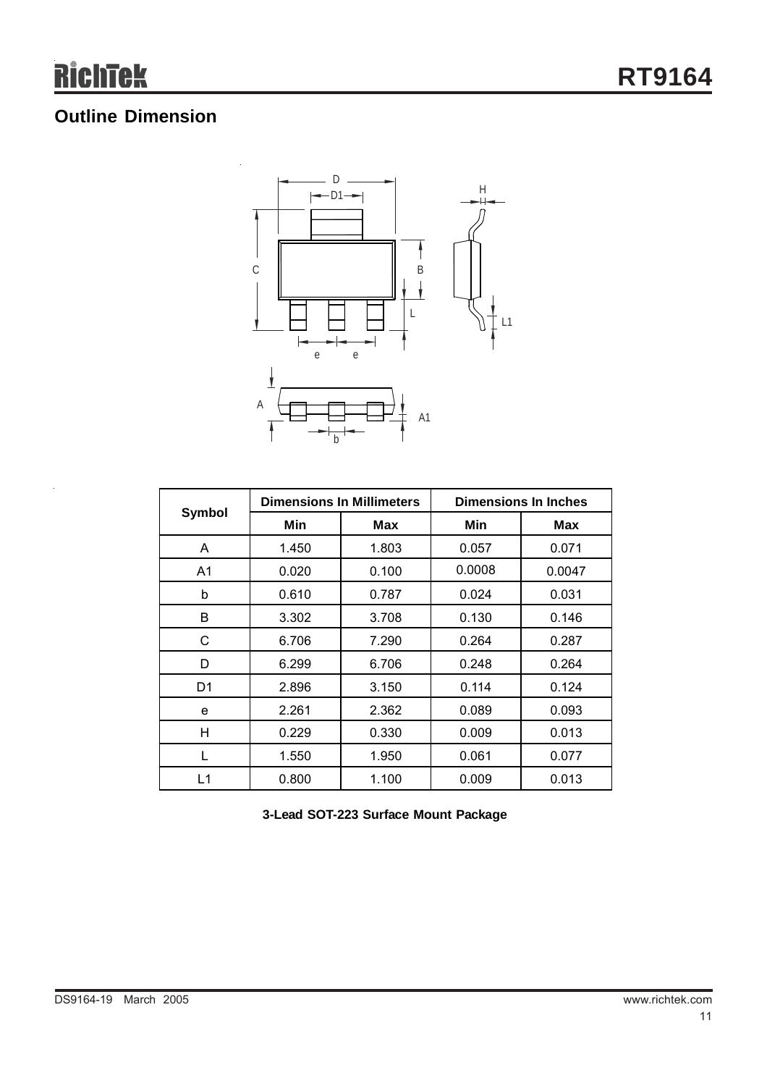## **Outline Dimension**



| Symbol |       | <b>Dimensions In Millimeters</b> | <b>Dimensions In Inches</b> |        |  |
|--------|-------|----------------------------------|-----------------------------|--------|--|
|        | Min   | Max                              | Min                         | Max    |  |
| A      | 1.450 | 1.803                            | 0.057                       | 0.071  |  |
| A1     | 0.020 | 0.100                            | 0.0008                      | 0.0047 |  |
| b      | 0.610 | 0.787                            | 0.024                       | 0.031  |  |
| В      | 3.302 | 3.708                            | 0.130                       | 0.146  |  |
| C      | 6.706 | 7.290                            | 0.264                       | 0.287  |  |
| D      | 6.299 | 6.706                            | 0.248                       | 0.264  |  |
| D1     | 2.896 | 3.150                            | 0.114                       | 0.124  |  |
| e      | 2.261 | 2.362                            | 0.089                       | 0.093  |  |
| н      | 0.229 | 0.330                            | 0.009                       | 0.013  |  |
|        | 1.550 | 1.950                            | 0.061                       | 0.077  |  |
| L1     | 0.800 | 1.100                            | 0.009                       | 0.013  |  |

**3-Lead SOT-223 Surface Mount Package**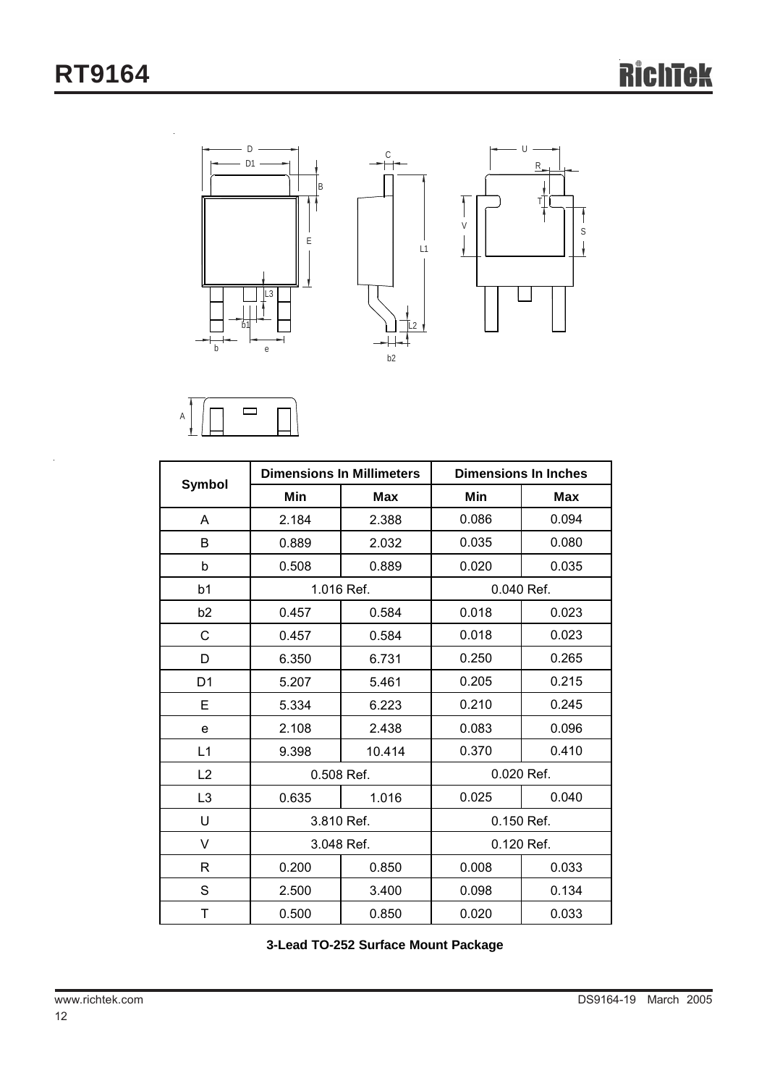



|                |            | <b>Dimensions In Millimeters</b> | <b>Dimensions In Inches</b> |            |  |
|----------------|------------|----------------------------------|-----------------------------|------------|--|
| <b>Symbol</b>  | Min        | <b>Max</b>                       | Min                         | <b>Max</b> |  |
| A              | 2.184      | 2.388                            | 0.086                       | 0.094      |  |
| B              | 0.889      | 2.032                            | 0.035                       | 0.080      |  |
| b              | 0.508      | 0.889                            | 0.020                       | 0.035      |  |
| b1             |            | 1.016 Ref.                       | 0.040 Ref.                  |            |  |
| b <sub>2</sub> | 0.457      | 0.584                            | 0.018                       | 0.023      |  |
| $\mathsf{C}$   | 0.457      | 0.584                            | 0.018                       | 0.023      |  |
| D              | 6.350      | 6.731                            | 0.250                       | 0.265      |  |
| D <sub>1</sub> | 5.207      | 5.461                            | 0.205                       | 0.215      |  |
| E              | 5.334      | 6.223                            | 0.210                       | 0.245      |  |
| e              | 2.108      | 2.438                            | 0.083                       | 0.096      |  |
| L1             | 9.398      | 10.414                           | 0.370                       | 0.410      |  |
| L2             | 0.508 Ref. |                                  | 0.020 Ref.                  |            |  |
| L3             | 0.635      | 1.016                            | 0.025                       | 0.040      |  |
| U              | 3.810 Ref. |                                  | 0.150 Ref.                  |            |  |
| V              | 3.048 Ref. |                                  | 0.120 Ref.                  |            |  |
| R              | 0.200      | 0.850                            | 0.008                       | 0.033      |  |
| S              | 2.500      | 3.400                            | 0.098                       | 0.134      |  |
| T              | 0.500      | 0.850                            | 0.020                       | 0.033      |  |

**3-Lead TO-252 Surface Mount Package**